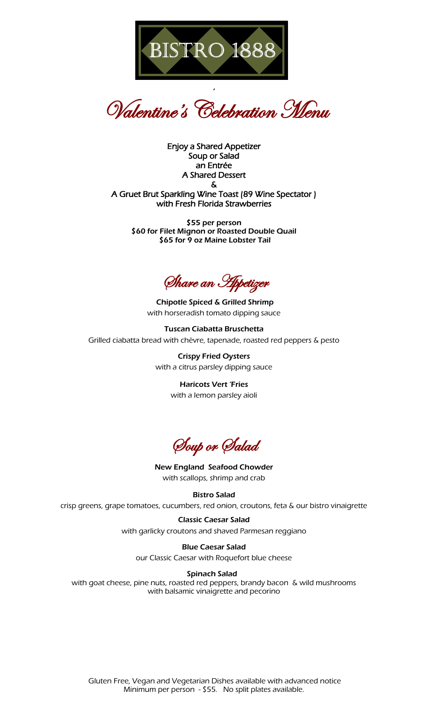

Valentine's Celebration Menu

'

Enjoy a Shared Appetizer Soup or Salad an Entrée A Shared Dessert & A Gruet Brut Sparkling Wine Toast (89 Wine Spectator ) with Fresh Florida Strawberries

\$55 per person \$60 for Filet Mignon or Roasted Double Quail \$65 for 9 oz Maine Lobster Tail

Share an Appetizer

Chipotle Spiced & Grilled Shrimp with horseradish tomato dipping sauce

Tuscan Ciabatta Bruschetta Grilled ciabatta bread with chèvre, tapenade, roasted red peppers & pesto

> Crispy Fried Oysters with a citrus parsley dipping sauce

> > Haricots Vert 'Fries with a lemon parsley aioli

Soup or Salad

New England Seafood Chowder with scallops, shrimp and crab

Bistro Salad

crisp greens, grape tomatoes, cucumbers, red onion, croutons, feta & our bistro vinaigrette

Classic Caesar Salad with garlicky croutons and shaved Parmesan reggiano

Blue Caesar Salad our Classic Caesar with Roquefort blue cheese

Spinach Salad with goat cheese, pine nuts, roasted red peppers, brandy bacon & wild mushrooms with balsamic vinaigrette and pecorino

Gluten Free, Vegan and Vegetarian Dishes available with advanced notice Minimum per person - \$55. No split plates available.